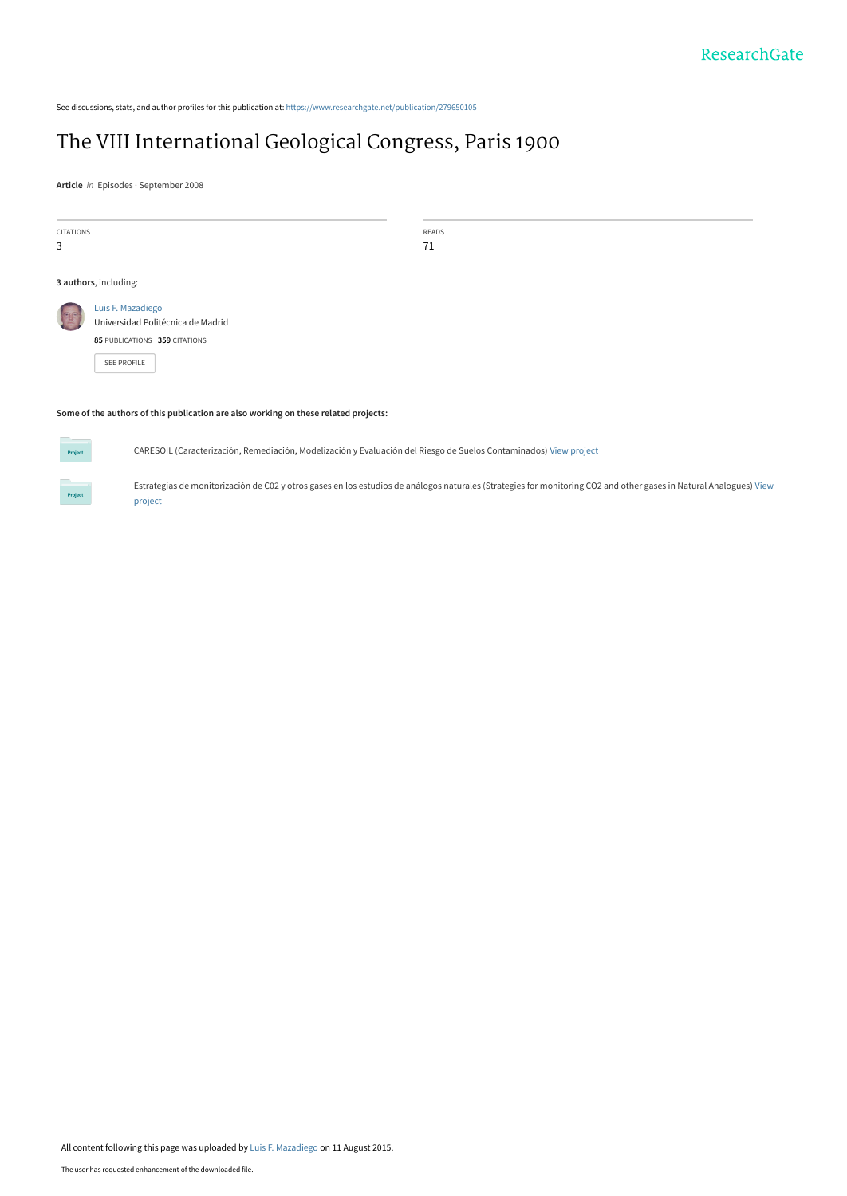See discussions, stats, and author profiles for this publication at: [https://www.researchgate.net/publication/279650105](https://www.researchgate.net/publication/279650105_The_VIII_International_Geological_Congress_Paris_1900?enrichId=rgreq-6ddacf9d0bdfc68fc7215f80420a3010-XXX&enrichSource=Y292ZXJQYWdlOzI3OTY1MDEwNTtBUzoyNjEzMDczMjg4ODg4MzNAMTQzOTMxMTkzMDQyMA%3D%3D&el=1_x_2&_esc=publicationCoverPdf)

## [The VIII International Geological Congress, Paris 1900](https://www.researchgate.net/publication/279650105_The_VIII_International_Geological_Congress_Paris_1900?enrichId=rgreq-6ddacf9d0bdfc68fc7215f80420a3010-XXX&enrichSource=Y292ZXJQYWdlOzI3OTY1MDEwNTtBUzoyNjEzMDczMjg4ODg4MzNAMTQzOTMxMTkzMDQyMA%3D%3D&el=1_x_3&_esc=publicationCoverPdf)

**Article** in Episodes · September 2008

CITATIONS 3 READS 71 **3 authors**, including: **Some of the authors of this publication are also working on these related projects:** [Luis F. Mazadiego](https://www.researchgate.net/profile/Luis_Mazadiego?enrichId=rgreq-6ddacf9d0bdfc68fc7215f80420a3010-XXX&enrichSource=Y292ZXJQYWdlOzI3OTY1MDEwNTtBUzoyNjEzMDczMjg4ODg4MzNAMTQzOTMxMTkzMDQyMA%3D%3D&el=1_x_5&_esc=publicationCoverPdf) [Universidad Politécnica de Madrid](https://www.researchgate.net/institution/Universidad_Politecnica_de_Madrid?enrichId=rgreq-6ddacf9d0bdfc68fc7215f80420a3010-XXX&enrichSource=Y292ZXJQYWdlOzI3OTY1MDEwNTtBUzoyNjEzMDczMjg4ODg4MzNAMTQzOTMxMTkzMDQyMA%3D%3D&el=1_x_6&_esc=publicationCoverPdf) **85** PUBLICATIONS **359** CITATIONS [SEE PROFILE](https://www.researchgate.net/profile/Luis_Mazadiego?enrichId=rgreq-6ddacf9d0bdfc68fc7215f80420a3010-XXX&enrichSource=Y292ZXJQYWdlOzI3OTY1MDEwNTtBUzoyNjEzMDczMjg4ODg4MzNAMTQzOTMxMTkzMDQyMA%3D%3D&el=1_x_7&_esc=publicationCoverPdf)



CARESOIL (Caracterización, Remediación, Modelización y Evaluación del Riesgo de Suelos Contaminados) [View project](https://www.researchgate.net/project/CARESOIL-Caracterizacion-Remediacion-Modelizacion-y-Evaluacion-del-Riesgo-de-Suelos-Contaminados?enrichId=rgreq-6ddacf9d0bdfc68fc7215f80420a3010-XXX&enrichSource=Y292ZXJQYWdlOzI3OTY1MDEwNTtBUzoyNjEzMDczMjg4ODg4MzNAMTQzOTMxMTkzMDQyMA%3D%3D&el=1_x_9&_esc=publicationCoverPdf)

[Estrategias de monitorización de C02 y otros gases en los estudios de análogos naturales \(Strategies for monitoring CO2 and other gases in Natural Analogues\)](https://www.researchgate.net/project/Estrategias-de-monitorizacion-de-C02-y-otros-gases-en-los-estudios-de-analogos-naturales-Strategies-for-monitoring-CO2-and-other-gases-in-Natural-Analogues?enrichId=rgreq-6ddacf9d0bdfc68fc7215f80420a3010-XXX&enrichSource=Y292ZXJQYWdlOzI3OTY1MDEwNTtBUzoyNjEzMDczMjg4ODg4MzNAMTQzOTMxMTkzMDQyMA%3D%3D&el=1_x_9&_esc=publicationCoverPdf) View project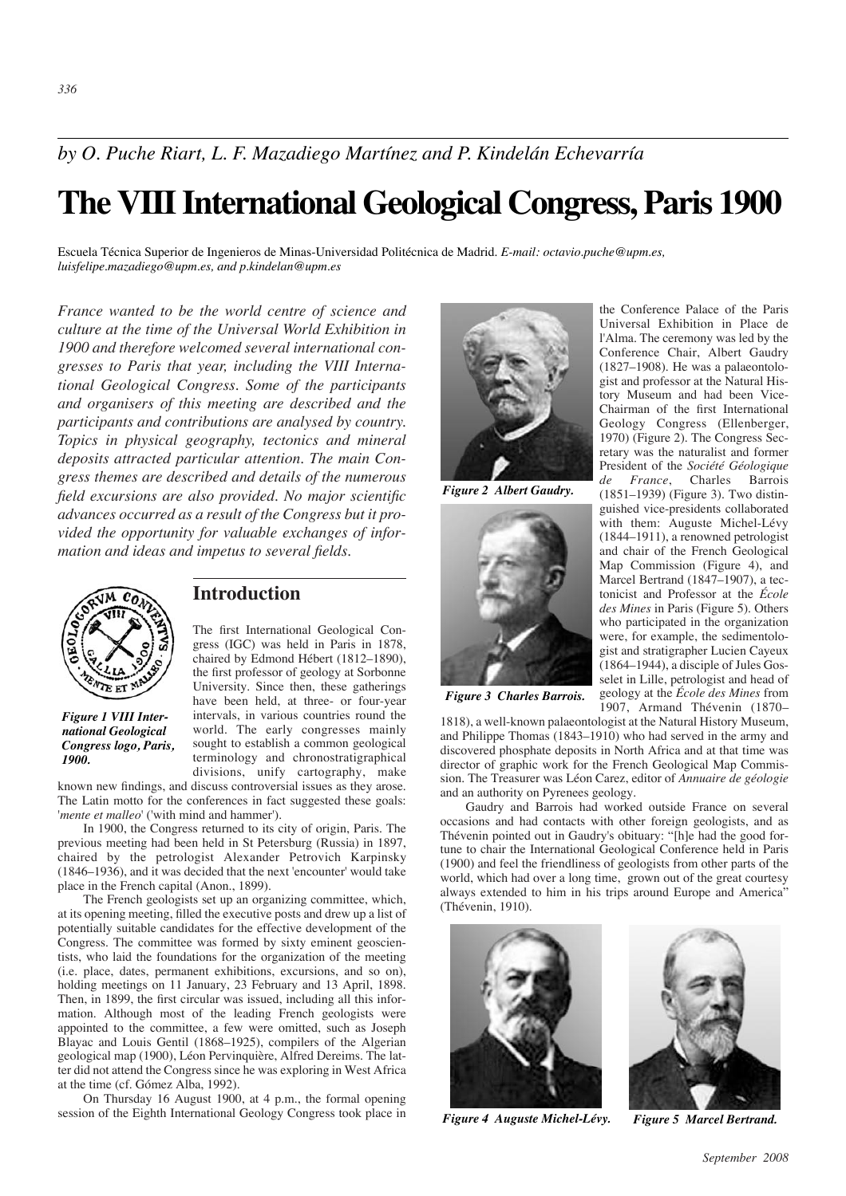# **The VIII International Geological Congress, Paris 1900**

Escuela Técnica Superior de Ingenieros de Minas-Universidad Politécnica de Madrid. *E-mail: octavio.puche@upm.es, luisfelipe.mazadiego@upm.es, and p.kindelan@upm.es*

*France wanted to be the world centre of science and culture at the time of the Universal World Exhibition in 1900 and therefore welcomed several international congresses to Paris that year, including the VIII International Geological Congress. Some of the participants and organisers of this meeting are described and the participants and contributions are analysed by country. Topics in physical geography, tectonics and mineral deposits attracted particular attention. The main Congress themes are described and details of the numerous field excursions are also provided. No major scientific advances occurred as a result of the Congress but it provided the opportunity for valuable exchanges of information and ideas and impetus to several fields.*



*Figure 1 VIII International Geological Congress logo, Paris, 1900.*

### **Introduction**

The first International Geological Congress (IGC) was held in Paris in 1878, chaired by Edmond Hébert (1812–1890), the first professor of geology at Sorbonne University. Since then, these gatherings have been held, at three- or four-year intervals, in various countries round the world. The early congresses mainly sought to establish a common geological terminology and chronostratigraphical divisions, unify cartography, make

known new findings, and discuss controversial issues as they arose. The Latin motto for the conferences in fact suggested these goals: '*mente et malleo*' ('with mind and hammer').

In 1900, the Congress returned to its city of origin, Paris. The previous meeting had been held in St Petersburg (Russia) in 1897, chaired by the petrologist Alexander Petrovich Karpinsky (1846–1936), and it was decided that the next 'encounter' would take place in the French capital (Anon., 1899).

The French geologists set up an organizing committee, which, at its opening meeting, filled the executive posts and drew up a list of potentially suitable candidates for the effective development of the Congress. The committee was formed by sixty eminent geoscientists, who laid the foundations for the organization of the meeting (i.e. place, dates, permanent exhibitions, excursions, and so on), holding meetings on 11 January, 23 February and 13 April, 1898. Then, in 1899, the first circular was issued, including all this information. Although most of the leading French geologists were appointed to the committee, a few were omitted, such as Joseph Blayac and Louis Gentil (1868–1925), compilers of the Algerian geological map (1900), Léon Pervinquière, Alfred Dereims. The latter did not attend the Congress since he was exploring in West Africa at the time (cf. Gómez Alba, 1992).

On Thursday 16 August 1900, at 4 p.m., the formal opening session of the Eighth International Geology Congress took place in



*Figure 2 Albert Gaudry.*



the Conference Palace of the Paris Universal Exhibition in Place de l'Alma. The ceremony was led by the Conference Chair, Albert Gaudry (1827–1908). He was a palaeontologist and professor at the Natural History Museum and had been Vice-Chairman of the first International Geology Congress (Ellenberger, 1970) (Figure 2). The Congress Secretary was the naturalist and former President of the *Société Géologique de France*, Charles Barrois (1851–1939) (Figure 3). Two distinguished vice-presidents collaborated with them: Auguste Michel-Lévy (1844–1911), a renowned petrologist and chair of the French Geological Map Commission (Figure 4), and Marcel Bertrand (1847–1907), a tectonicist and Professor at the *École des Mines* in Paris (Figure 5). Others who participated in the organization were, for example, the sedimentologist and stratigrapher Lucien Cayeux (1864–1944), a disciple of Jules Gosselet in Lille, petrologist and head of geology at the *École des Mines* from 1907, Armand Thévenin (1870–

*Figure 3 Charles Barrois.*

1818), a well-known palaeontologist at the Natural History Museum, and Philippe Thomas (1843–1910) who had served in the army and discovered phosphate deposits in North Africa and at that time was director of graphic work for the French Geological Map Commission. The Treasurer was Léon Carez, editor of *Annuaire de géologie* and an authority on Pyrenees geology.

Gaudry and Barrois had worked outside France on several occasions and had contacts with other foreign geologists, and as Thévenin pointed out in Gaudry's obituary: "[h]e had the good fortune to chair the International Geological Conference held in Paris (1900) and feel the friendliness of geologists from other parts of the world, which had over a long time, grown out of the great courtesy always extended to him in his trips around Europe and America" (Thévenin, 1910).





*Figure 4 Auguste Michel-Lévy. Figure 5 Marcel Bertrand.*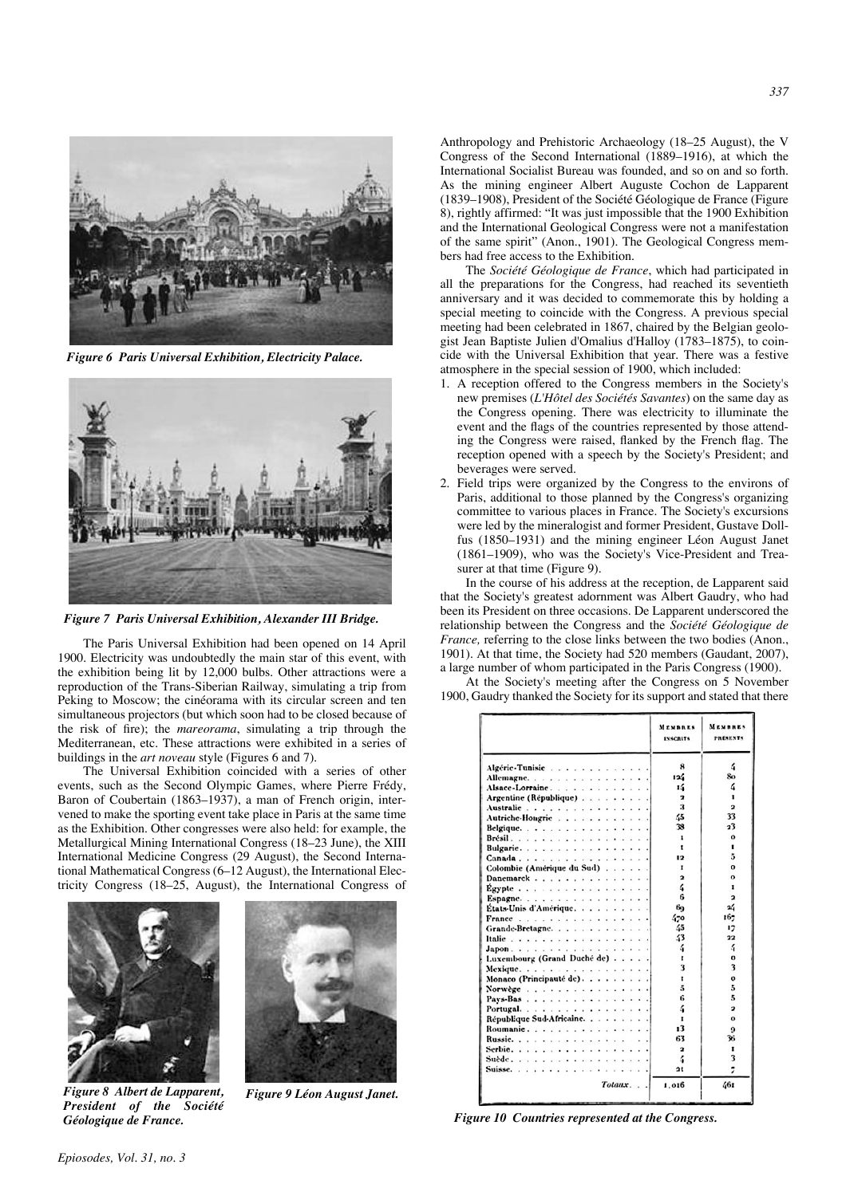

*Figure 6 Paris Universal Exhibition, Electricity Palace.*



*Figure 7 Paris Universal Exhibition, Alexander III Bridge.*

The Paris Universal Exhibition had been opened on 14 April 1900. Electricity was undoubtedly the main star of this event, with the exhibition being lit by 12,000 bulbs. Other attractions were a reproduction of the Trans-Siberian Railway, simulating a trip from Peking to Moscow; the cinéorama with its circular screen and ten simultaneous projectors (but which soon had to be closed because of the risk of fire); the *mareorama*, simulating a trip through the Mediterranean, etc. These attractions were exhibited in a series of buildings in the *art noveau* style (Figures 6 and 7).

The Universal Exhibition coincided with a series of other events, such as the Second Olympic Games, where Pierre Frédy, Baron of Coubertain (1863–1937), a man of French origin, intervened to make the sporting event take place in Paris at the same time as the Exhibition. Other congresses were also held: for example, the Metallurgical Mining International Congress (18–23 June), the XIII International Medicine Congress (29 August), the Second International Mathematical Congress (6–12 August), the International Electricity Congress (18–25, August), the International Congress of



*Figure 8 Albert de Lapparent, President of the Société Géologique de France.*



*Figure 9 Léon August Janet.*

Anthropology and Prehistoric Archaeology (18–25 August), the V Congress of the Second International (1889–1916), at which the International Socialist Bureau was founded, and so on and so forth. As the mining engineer Albert Auguste Cochon de Lapparent (1839–1908), President of the Société Géologique de France (Figure 8), rightly affirmed: "It was just impossible that the 1900 Exhibition and the International Geological Congress were not a manifestation of the same spirit" (Anon., 1901). The Geological Congress members had free access to the Exhibition.

The *Société Géologique de France*, which had participated in all the preparations for the Congress, had reached its seventieth anniversary and it was decided to commemorate this by holding a special meeting to coincide with the Congress. A previous special meeting had been celebrated in 1867, chaired by the Belgian geologist Jean Baptiste Julien d'Omalius d'Halloy (1783–1875), to coincide with the Universal Exhibition that year. There was a festive atmosphere in the special session of 1900, which included:

- 1. A reception offered to the Congress members in the Society's new premises (*L'Hôtel des Sociétés Savantes*) on the same day as the Congress opening. There was electricity to illuminate the event and the flags of the countries represented by those attending the Congress were raised, flanked by the French flag. The reception opened with a speech by the Society's President; and beverages were served.
- 2. Field trips were organized by the Congress to the environs of Paris, additional to those planned by the Congress's organizing committee to various places in France. The Society's excursions were led by the mineralogist and former President, Gustave Dollfus (1850–1931) and the mining engineer Léon August Janet (1861–1909), who was the Society's Vice-President and Treasurer at that time (Figure 9).

In the course of his address at the reception, de Lapparent said that the Society's greatest adornment was Albert Gaudry, who had been its President on three occasions. De Lapparent underscored the relationship between the Congress and the *Société Géologique de France,* referring to the close links between the two bodies (Anon., 1901). At that time, the Society had 520 members (Gaudant, 2007), a large number of whom participated in the Paris Congress (1900).

At the Society's meeting after the Congress on 5 November 1900, Gaudry thanked the Society for its support and stated that there

|                             | MEMBRES<br><b>INSCRITS</b> | MEMBRES<br><b>PRÉSENTS</b> |
|-----------------------------|----------------------------|----------------------------|
| Algérie-Tunisie             | 8                          | 4                          |
| Allemagne.                  | 12 <sup>′</sup>            | 80                         |
| Alsace-Lorraine             | 14                         | 4                          |
| Argentine (République)      | $\overline{\mathbf{z}}$    |                            |
| Australie                   | 3                          | $\overline{\mathbf{a}}$    |
| Autriche-Hongrie            | 45                         | 33                         |
| Belgique.                   | 38                         | 23                         |
| Brésil.                     | $\mathbf{r}$               | $\Omega$                   |
| Bulgarie.                   |                            |                            |
| Canada                      | 12                         | 5                          |
| Colombie (Amérique du Sud)  | 1                          | $\Omega$                   |
| Danemarck                   | $\mathbf{a}$               | $\mathbf{a}$               |
| Egypte $\ldots$             | 4                          | 1                          |
| Espagne.                    | 6                          | $\mathbf{r}$               |
| États-Unis d'Amérique.      | 69                         | $\mathbf{a}$               |
| France                      | 470                        | 167                        |
| Grande-Bretagne.            | 45                         | 17                         |
|                             | 43                         | 22                         |
| <b>Japon</b> ,              | 4                          | 4                          |
| Luxembourg (Grand Duché de) |                            | 0                          |
| Mexique.                    | $\overline{\mathbf{3}}$    | 3                          |
| Monaco (Principauté de).    |                            | $\mathbf{o}$               |
| Norwège                     | 5                          | 5                          |
| Pays-Bas                    | 6                          | 5                          |
| Portugal.                   |                            | $\mathbf{r}$               |
| République Sud-Africaine.   |                            | $\Omega$                   |
| Roumanie                    | 13                         | $\Omega$                   |
| Russie.                     | 63                         | 36                         |
| Serbie.                     | $\overline{\mathbf{a}}$    |                            |
| Suede.                      | 4                          | 3                          |
| Suisse                      | $\overline{21}$            |                            |
| $Totalux.$ .                | 1.016                      | 661                        |

*Figure 10 Countries represented at the Congress.*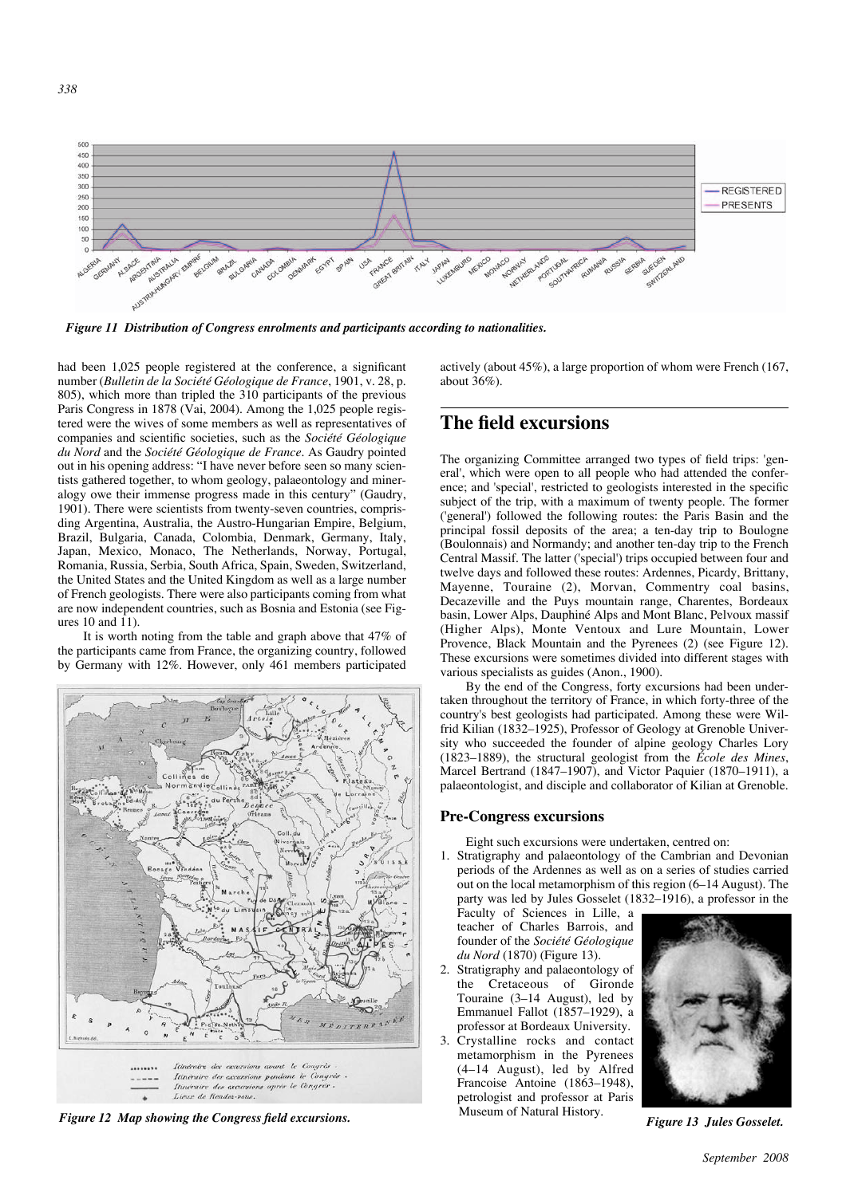

*Figure 11 Distribution of Congress enrolments and participants according to nationalities.*

had been 1,025 people registered at the conference, a significant number (*Bulletin de la Société Géologique de France*, 1901, v. 28, p. 805), which more than tripled the 310 participants of the previous Paris Congress in 1878 (Vai, 2004). Among the 1,025 people registered were the wives of some members as well as representatives of companies and scientific societies, such as the *Société Géologique du Nord* and the *Société Géologique de France*. As Gaudry pointed out in his opening address: "I have never before seen so many scientists gathered together, to whom geology, palaeontology and mineralogy owe their immense progress made in this century" (Gaudry, 1901). There were scientists from twenty-seven countries, comprisding Argentina, Australia, the Austro-Hungarian Empire, Belgium, Brazil, Bulgaria, Canada, Colombia, Denmark, Germany, Italy, Japan, Mexico, Monaco, The Netherlands, Norway, Portugal, Romania, Russia, Serbia, South Africa, Spain, Sweden, Switzerland, the United States and the United Kingdom as well as a large number of French geologists. There were also participants coming from what are now independent countries, such as Bosnia and Estonia (see Figures 10 and 11).

It is worth noting from the table and graph above that 47% of the participants came from France, the organizing country, followed by Germany with 12%. However, only 461 members participated



*Figure 12 Map showing the Congress field excursions.* **Figure 12 Map Soft Arrow Figure 13 Jules Gosselet.** *Figure 13 Jules Gosselet.* 

actively (about 45%), a large proportion of whom were French (167, about 36%).

### **The field excursions**

The organizing Committee arranged two types of field trips: 'general', which were open to all people who had attended the conference; and 'special', restricted to geologists interested in the specific subject of the trip, with a maximum of twenty people. The former ('general') followed the following routes: the Paris Basin and the principal fossil deposits of the area; a ten-day trip to Boulogne (Boulonnais) and Normandy; and another ten-day trip to the French Central Massif. The latter ('special') trips occupied between four and twelve days and followed these routes: Ardennes, Picardy, Brittany, Mayenne, Touraine (2), Morvan, Commentry coal basins, Decazeville and the Puys mountain range, Charentes, Bordeaux basin, Lower Alps, Dauphiné Alps and Mont Blanc, Pelvoux massif (Higher Alps), Monte Ventoux and Lure Mountain, Lower Provence, Black Mountain and the Pyrenees (2) (see Figure 12). These excursions were sometimes divided into different stages with various specialists as guides (Anon., 1900).

By the end of the Congress, forty excursions had been undertaken throughout the territory of France, in which forty-three of the country's best geologists had participated. Among these were Wilfrid Kilian (1832–1925), Professor of Geology at Grenoble University who succeeded the founder of alpine geology Charles Lory (1823–1889), the structural geologist from the *École des Mines*, Marcel Bertrand (1847–1907), and Victor Paquier (1870–1911), a palaeontologist, and disciple and collaborator of Kilian at Grenoble.

### **Pre-Congress excursions**

Eight such excursions were undertaken, centred on:

1. Stratigraphy and palaeontology of the Cambrian and Devonian periods of the Ardennes as well as on a series of studies carried out on the local metamorphism of this region (6–14 August). The party was led by Jules Gosselet (1832–1916), a professor in the

Faculty of Sciences in Lille, a teacher of Charles Barrois, and founder of the *Société Géologique du Nord* (1870) (Figure 13).

- 2. Stratigraphy and palaeontology of the Cretaceous of Gironde Touraine (3–14 August), led by Emmanuel Fallot (1857–1929), a professor at Bordeaux University.
- 3. Crystalline rocks and contact metamorphism in the Pyrenees (4–14 August), led by Alfred Francoise Antoine (1863–1948), petrologist and professor at Paris Museum of Natural History.

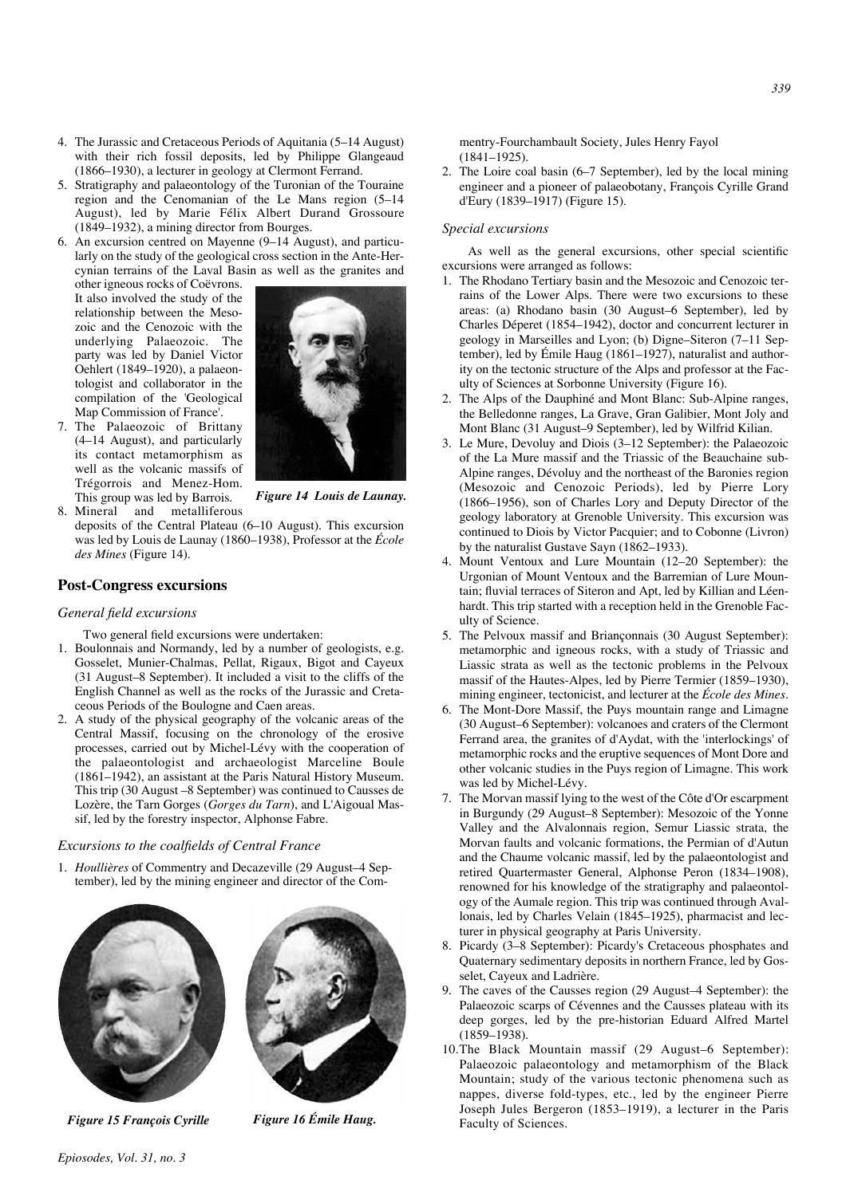- 4. The Jurassic and Cretaceous Periods of Aquitania (5–14 August) with their rich fossil deposits, led by Philippe Glangeaud (1866–1930), a lecturer in geology at Clermont Ferrand.
- 5. Stratigraphy and palaeontology of the Turonian of the Touraine region and the Cenomanian of the Le Mans region (5–14 August), led by Marie Félix Albert Durand Grossoure (1849–1932), a mining director from Bourges.
- 6. An excursion centred on Mayenne (9–14 August), and particularly on the study of the geological cross section in the Ante-Hercynian terrains of the Laval Basin as well as the granites and

other igneous rocks of Coëvrons. It also involved the study of the relationship between the Mesozoic and the Cenozoic with the underlying Palaeozoic. The party was led by Daniel Victor Oehlert (1849–1920), a palaeontologist and collaborator in the compilation of the 'Geological Map Commission of France'.



7. The Palaeozoic of Brittany (4–14 August), and particularly its contact metamorphism as well as the volcanic massifs of Trégorrois and Menez-Hom. This group was led by Barrois.<br>8. Mineral and metalliferous and metalliferous

*Figure 14 Louis de Launay.*

deposits of the Central Plateau (6–10 August). This excursion was led by Louis de Launay (1860–1938), Professor at the *École des Mines* (Figure 14).

### **Post-Congress excursions**

### *General field excursions*

Two general field excursions were undertaken:

- 1. Boulonnais and Normandy, led by a number of geologists, e.g. Gosselet, Munier-Chalmas, Pellat, Rigaux, Bigot and Cayeux (31 August–8 September). It included a visit to the cliffs of the English Channel as well as the rocks of the Jurassic and Cretaceous Periods of the Boulogne and Caen areas.
- 2. A study of the physical geography of the volcanic areas of the Central Massif, focusing on the chronology of the erosive processes, carried out by Michel-Lévy with the cooperation of the palaeontologist and archaeologist Marceline Boule (1861–1942), an assistant at the Paris Natural History Museum. This trip (30 August –8 September) was continued to Causses de Lozère, the Tarn Gorges (*Gorges du Tarn*), and L'Aigoual Massif, led by the forestry inspector, Alphonse Fabre.

#### *Excursions to the coalfields of Central France*

1. *Houllières* of Commentry and Decazeville (29 August–4 September), led by the mining engineer and director of the Com-





*Figure 15 François Cyrille Figure 16 Émile Haug.*

mentry-Fourchambault Society, Jules Henry Fayol  $(1841 - 1925)$ 

2. The Loire coal basin (6–7 September), led by the local mining engineer and a pioneer of palaeobotany, François Cyrille Grand d'Eury (1839–1917) (Figure 15).

### *Special excursions*

As well as the general excursions, other special scientific excursions were arranged as follows:

- 1. The Rhodano Tertiary basin and the Mesozoic and Cenozoic terrains of the Lower Alps. There were two excursions to these areas: (a) Rhodano basin (30 August–6 September), led by Charles Déperet (1854–1942), doctor and concurrent lecturer in geology in Marseilles and Lyon; (b) Digne–Siteron (7–11 September), led by Émile Haug (1861–1927), naturalist and authority on the tectonic structure of the Alps and professor at the Faculty of Sciences at Sorbonne University (Figure 16).
- 2. The Alps of the Dauphiné and Mont Blanc: Sub-Alpine ranges, the Belledonne ranges, La Grave, Gran Galibier, Mont Joly and Mont Blanc (31 August–9 September), led by Wilfrid Kilian.
- 3. Le Mure, Devoluy and Diois (3–12 September): the Palaeozoic of the La Mure massif and the Triassic of the Beauchaine sub-Alpine ranges, Dévoluy and the northeast of the Baronies region (Mesozoic and Cenozoic Periods), led by Pierre Lory (1866–1956), son of Charles Lory and Deputy Director of the geology laboratory at Grenoble University. This excursion was continued to Diois by Victor Pacquier; and to Cobonne (Livron) by the naturalist Gustave Sayn (1862–1933).
- 4. Mount Ventoux and Lure Mountain (12–20 September): the Urgonian of Mount Ventoux and the Barremian of Lure Mountain; fluvial terraces of Siteron and Apt, led by Killian and Léenhardt. This trip started with a reception held in the Grenoble Faculty of Science.
- 5. The Pelvoux massif and Briançonnais (30 August September): metamorphic and igneous rocks, with a study of Triassic and Liassic strata as well as the tectonic problems in the Pelvoux massif of the Hautes-Alpes, led by Pierre Termier (1859–1930), mining engineer, tectonicist, and lecturer at the *École des Mines.*
- 6. The Mont-Dore Massif, the Puys mountain range and Limagne (30 August–6 September): volcanoes and craters of the Clermont Ferrand area, the granites of d'Aydat, with the 'interlockings' of metamorphic rocks and the eruptive sequences of Mont Dore and other volcanic studies in the Puys region of Limagne. This work was led by Michel-Lévy.
- 7. The Morvan massif lying to the west of the Côte d'Or escarpment in Burgundy (29 August–8 September): Mesozoic of the Yonne Valley and the Alvalonnais region, Semur Liassic strata, the Morvan faults and volcanic formations, the Permian of d'Autun and the Chaume volcanic massif, led by the palaeontologist and retired Quartermaster General, Alphonse Peron (1834–1908), renowned for his knowledge of the stratigraphy and palaeontology of the Aumale region. This trip was continued through Avallonais, led by Charles Velain (1845–1925), pharmacist and lecturer in physical geography at Paris University.
- 8. Picardy (3–8 September): Picardy's Cretaceous phosphates and Quaternary sedimentary deposits in northern France, led by Gosselet, Cayeux and Ladrière.
- 9. The caves of the Causses region (29 August–4 September): the Palaeozoic scarps of Cévennes and the Causses plateau with its deep gorges, led by the pre-historian Eduard Alfred Martel (1859–1938).
- 10.The Black Mountain massif (29 August–6 September): Palaeozoic palaeontology and metamorphism of the Black Mountain; study of the various tectonic phenomena such as nappes, diverse fold-types, etc., led by the engineer Pierre Joseph Jules Bergeron (1853–1919), a lecturer in the Paris Faculty of Sciences.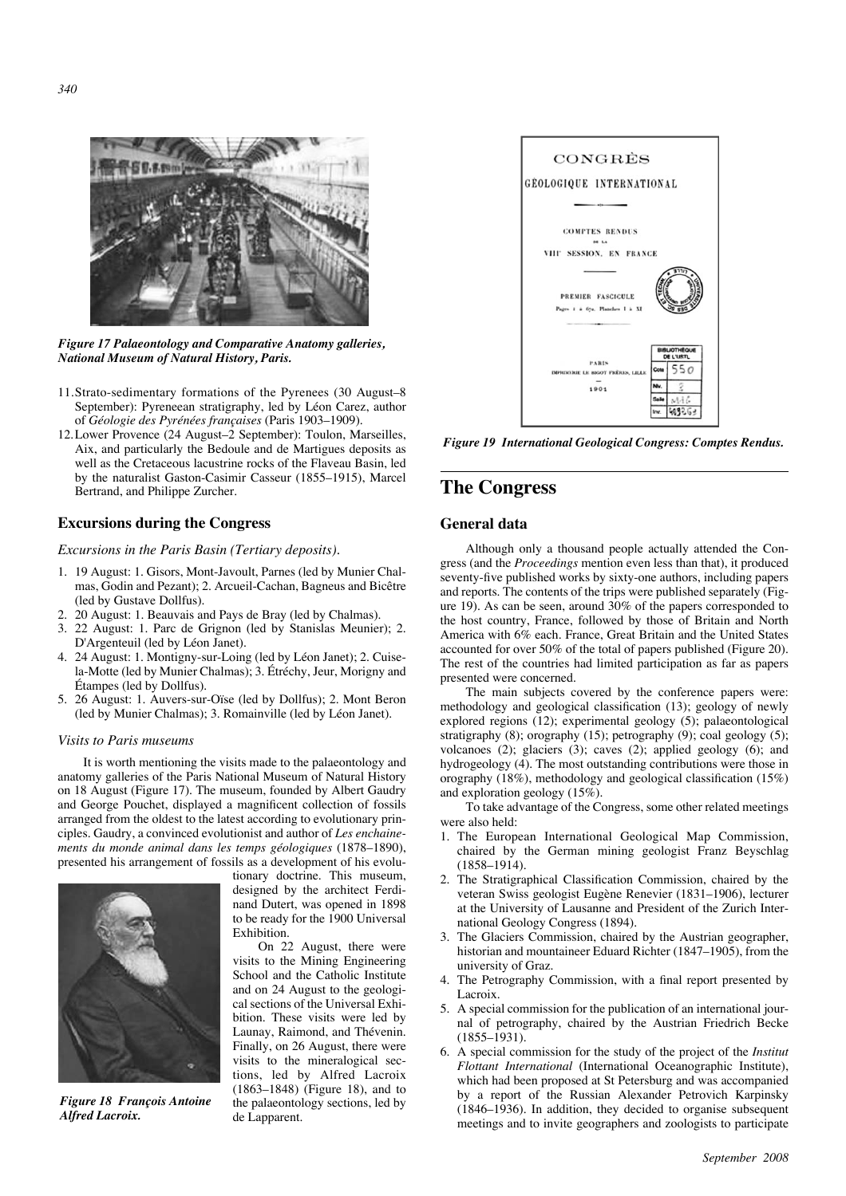

*Figure 17 Palaeontology and Comparative Anatomy galleries, National Museum of Natural History, Paris.* 

- 11.Strato-sedimentary formations of the Pyrenees (30 August–8 September): Pyreneean stratigraphy, led by Léon Carez, author of *Géologie des Pyrénées françaises* (Paris 1903–1909).
- 12.Lower Provence (24 August–2 September): Toulon, Marseilles, Aix, and particularly the Bedoule and de Martigues deposits as well as the Cretaceous lacustrine rocks of the Flaveau Basin, led by the naturalist Gaston-Casimir Casseur (1855–1915), Marcel Bertrand, and Philippe Zurcher.

### **Excursions during the Congress**

*Excursions in the Paris Basin (Tertiary deposits).* 

- 1. 19 August: 1. Gisors, Mont-Javoult, Parnes (led by Munier Chalmas, Godin and Pezant); 2. Arcueil-Cachan, Bagneus and Bicêtre (led by Gustave Dollfus).
- 2. 20 August: 1. Beauvais and Pays de Bray (led by Chalmas).
- 3. 22 August: 1. Parc de Grignon (led by Stanislas Meunier); 2. D'Argenteuil (led by Léon Janet).
- 4. 24 August: 1. Montigny-sur-Loing (led by Léon Janet); 2. Cuisela-Motte (led by Munier Chalmas); 3. Étréchy, Jeur, Morigny and Étampes (led by Dollfus).
- 5. 26 August: 1. Auvers-sur-Oïse (led by Dollfus); 2. Mont Beron (led by Munier Chalmas); 3. Romainville (led by Léon Janet).

#### *Visits to Paris museums*

It is worth mentioning the visits made to the palaeontology and anatomy galleries of the Paris National Museum of Natural History on 18 August (Figure 17). The museum, founded by Albert Gaudry and George Pouchet, displayed a magnificent collection of fossils arranged from the oldest to the latest according to evolutionary principles. Gaudry, a convinced evolutionist and author of *Les enchainements du monde animal dans les temps géologiques* (1878–1890), presented his arrangement of fossils as a development of his evolu-



*Figure 18 François Antoine Alfred Lacroix.*

tionary doctrine. This museum, designed by the architect Ferdinand Dutert, was opened in 1898 to be ready for the 1900 Universal Exhibition.

On 22 August, there were visits to the Mining Engineering School and the Catholic Institute and on 24 August to the geological sections of the Universal Exhibition. These visits were led by Launay, Raimond, and Thévenin. Finally, on 26 August, there were visits to the mineralogical sections, led by Alfred Lacroix (1863–1848) (Figure 18), and to the palaeontology sections, led by de Lapparent.



*Figure 19 International Geological Congress: Comptes Rendus.*

### **The Congress**

### **General data**

Although only a thousand people actually attended the Congress (and the *Proceedings* mention even less than that), it produced seventy-five published works by sixty-one authors, including papers and reports. The contents of the trips were published separately (Figure 19). As can be seen, around 30% of the papers corresponded to the host country, France, followed by those of Britain and North America with 6% each. France, Great Britain and the United States accounted for over 50% of the total of papers published (Figure 20). The rest of the countries had limited participation as far as papers presented were concerned.

The main subjects covered by the conference papers were: methodology and geological classification (13); geology of newly explored regions (12); experimental geology (5); palaeontological stratigraphy (8); orography (15); petrography (9); coal geology (5); volcanoes (2); glaciers (3); caves (2); applied geology (6); and hydrogeology (4). The most outstanding contributions were those in orography (18%), methodology and geological classification (15%) and exploration geology (15%).

To take advantage of the Congress, some other related meetings were also held:

- 1. The European International Geological Map Commission, chaired by the German mining geologist Franz Beyschlag (1858–1914).
- 2. The Stratigraphical Classification Commission, chaired by the veteran Swiss geologist Eugène Renevier (1831–1906), lecturer at the University of Lausanne and President of the Zurich International Geology Congress (1894).
- 3. The Glaciers Commission, chaired by the Austrian geographer, historian and mountaineer Eduard Richter (1847–1905), from the university of Graz.
- 4. The Petrography Commission, with a final report presented by Lacroix.
- 5. A special commission for the publication of an international journal of petrography, chaired by the Austrian Friedrich Becke (1855–1931).
- 6. A special commission for the study of the project of the *Institut Flottant International* (International Oceanographic Institute), which had been proposed at St Petersburg and was accompanied by a report of the Russian Alexander Petrovich Karpinsky (1846–1936). In addition, they decided to organise subsequent meetings and to invite geographers and zoologists to participate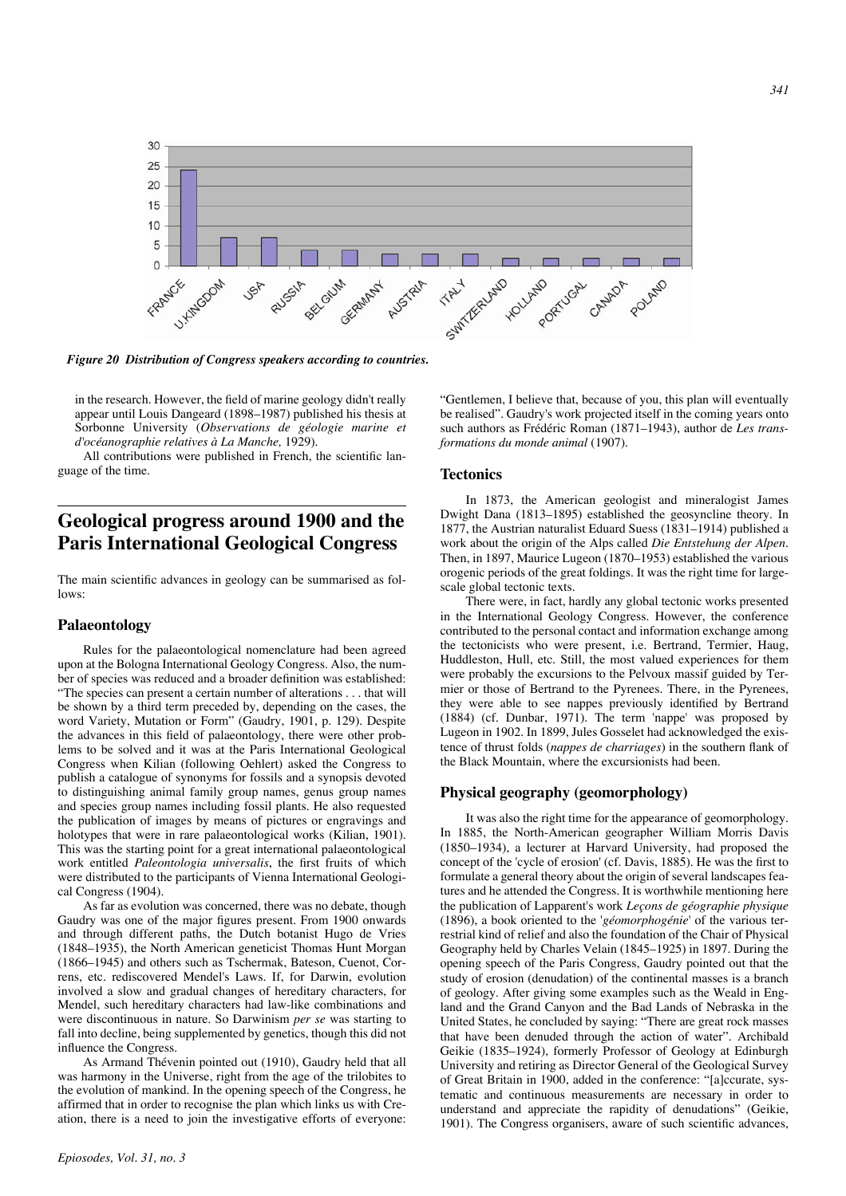

*Figure 20 Distribution of Congress speakers according to countries.*

in the research. However, the field of marine geology didn't really appear until Louis Dangeard (1898–1987) published his thesis at Sorbonne University (*Observations de géologie marine et d'océanographie relatives à La Manche,* 1929).

All contributions were published in French, the scientific language of the time.

### **Geological progress around 1900 and the Paris International Geological Congress**

The main scientific advances in geology can be summarised as follows:

### **Palaeontology**

Rules for the palaeontological nomenclature had been agreed upon at the Bologna International Geology Congress. Also, the number of species was reduced and a broader definition was established: "The species can present a certain number of alterations . . . that will be shown by a third term preceded by, depending on the cases, the word Variety, Mutation or Form" (Gaudry, 1901, p. 129). Despite the advances in this field of palaeontology, there were other problems to be solved and it was at the Paris International Geological Congress when Kilian (following Oehlert) asked the Congress to publish a catalogue of synonyms for fossils and a synopsis devoted to distinguishing animal family group names, genus group names and species group names including fossil plants. He also requested the publication of images by means of pictures or engravings and holotypes that were in rare palaeontological works (Kilian, 1901). This was the starting point for a great international palaeontological work entitled *Paleontologia universalis*, the first fruits of which were distributed to the participants of Vienna International Geological Congress (1904).

As far as evolution was concerned, there was no debate, though Gaudry was one of the major figures present. From 1900 onwards and through different paths, the Dutch botanist Hugo de Vries (1848–1935), the North American geneticist Thomas Hunt Morgan (1866–1945) and others such as Tschermak, Bateson, Cuenot, Correns, etc. rediscovered Mendel's Laws. If, for Darwin, evolution involved a slow and gradual changes of hereditary characters, for Mendel, such hereditary characters had law-like combinations and were discontinuous in nature. So Darwinism *per se* was starting to fall into decline, being supplemented by genetics, though this did not influence the Congress.

As Armand Thévenin pointed out (1910), Gaudry held that all was harmony in the Universe, right from the age of the trilobites to the evolution of mankind. In the opening speech of the Congress, he affirmed that in order to recognise the plan which links us with Creation, there is a need to join the investigative efforts of everyone:

"Gentlemen, I believe that, because of you, this plan will eventually be realised". Gaudry's work projected itself in the coming years onto such authors as Frédéric Roman (1871–1943), author de *Les transformations du monde animal* (1907).

### **Tectonics**

In 1873, the American geologist and mineralogist James Dwight Dana (1813–1895) established the geosyncline theory. In 1877, the Austrian naturalist Eduard Suess (1831–1914) published a work about the origin of the Alps called *Die Entstehung der Alpen*. Then, in 1897, Maurice Lugeon (1870–1953) established the various orogenic periods of the great foldings. It was the right time for largescale global tectonic texts.

There were, in fact, hardly any global tectonic works presented in the International Geology Congress. However, the conference contributed to the personal contact and information exchange among the tectonicists who were present, i.e. Bertrand, Termier, Haug, Huddleston, Hull, etc. Still, the most valued experiences for them were probably the excursions to the Pelvoux massif guided by Termier or those of Bertrand to the Pyrenees. There, in the Pyrenees, they were able to see nappes previously identified by Bertrand (1884) (cf. Dunbar, 1971). The term 'nappe' was proposed by Lugeon in 1902. In 1899, Jules Gosselet had acknowledged the existence of thrust folds (*nappes de charriages*) in the southern flank of the Black Mountain, where the excursionists had been.

### **Physical geography (geomorphology)**

It was also the right time for the appearance of geomorphology. In 1885, the North-American geographer William Morris Davis (1850–1934), a lecturer at Harvard University, had proposed the concept of the 'cycle of erosion' (cf. Davis, 1885). He was the first to formulate a general theory about the origin of several landscapes features and he attended the Congress. It is worthwhile mentioning here the publication of Lapparent's work *Leçons de géographie physique* (1896), a book oriented to the '*géomorphogénie*' of the various terrestrial kind of relief and also the foundation of the Chair of Physical Geography held by Charles Velain (1845–1925) in 1897. During the opening speech of the Paris Congress, Gaudry pointed out that the study of erosion (denudation) of the continental masses is a branch of geology. After giving some examples such as the Weald in England and the Grand Canyon and the Bad Lands of Nebraska in the United States, he concluded by saying: "There are great rock masses that have been denuded through the action of water". Archibald Geikie (1835–1924), formerly Professor of Geology at Edinburgh University and retiring as Director General of the Geological Survey of Great Britain in 1900, added in the conference: "[a]ccurate, systematic and continuous measurements are necessary in order to understand and appreciate the rapidity of denudations" (Geikie, 1901). The Congress organisers, aware of such scientific advances,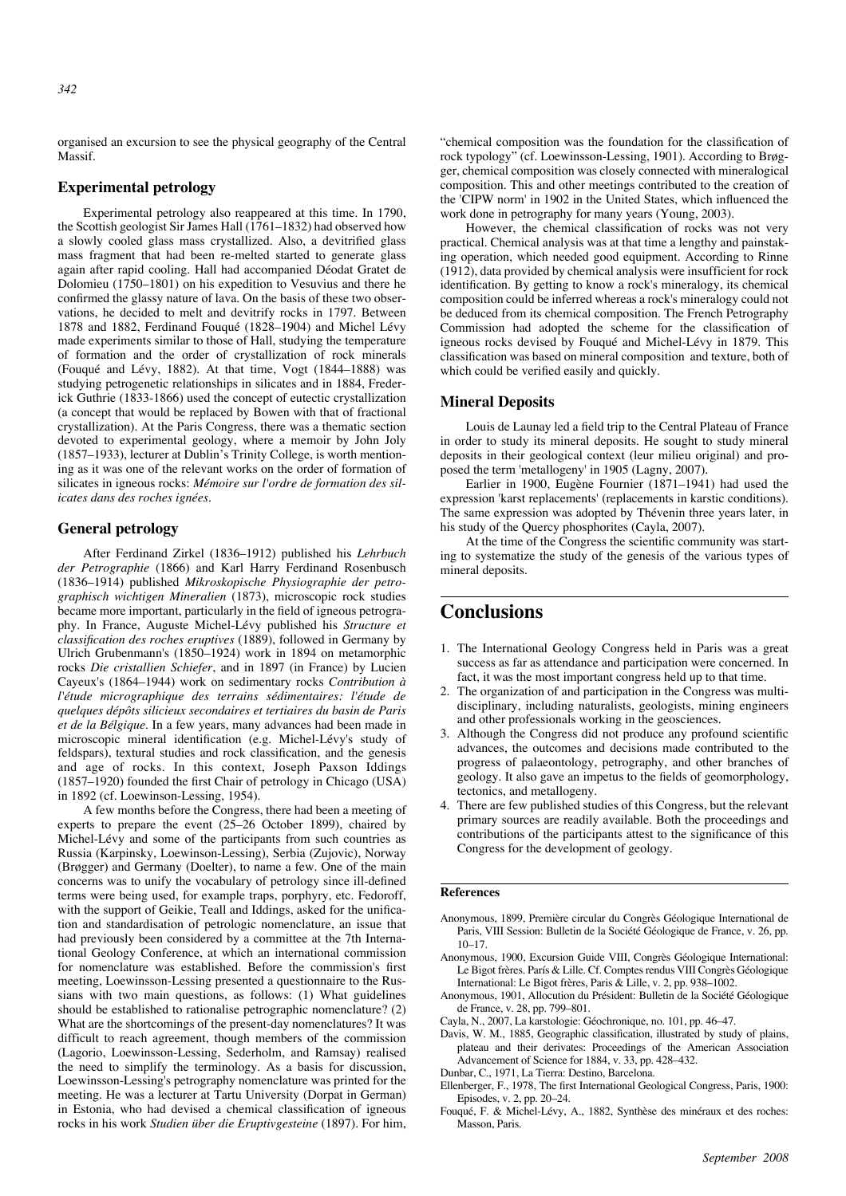organised an excursion to see the physical geography of the Central Massif.

### **Experimental petrology**

Experimental petrology also reappeared at this time. In 1790, the Scottish geologist Sir James Hall (1761–1832) had observed how a slowly cooled glass mass crystallized. Also, a devitrified glass mass fragment that had been re-melted started to generate glass again after rapid cooling. Hall had accompanied Déodat Gratet de Dolomieu (1750–1801) on his expedition to Vesuvius and there he confirmed the glassy nature of lava. On the basis of these two observations, he decided to melt and devitrify rocks in 1797. Between 1878 and 1882, Ferdinand Fouqué (1828–1904) and Michel Lévy made experiments similar to those of Hall, studying the temperature of formation and the order of crystallization of rock minerals (Fouqué and Lévy, 1882). At that time, Vogt (1844–1888) was studying petrogenetic relationships in silicates and in 1884, Frederick Guthrie (1833-1866) used the concept of eutectic crystallization (a concept that would be replaced by Bowen with that of fractional crystallization). At the Paris Congress, there was a thematic section devoted to experimental geology, where a memoir by John Joly (1857–1933), lecturer at Dublin's Trinity College, is worth mentioning as it was one of the relevant works on the order of formation of silicates in igneous rocks: *Mémoire sur l'ordre de formation des silicates dans des roches ignées*.

#### **General petrology**

After Ferdinand Zirkel (1836–1912) published his *Lehrbuch der Petrographie* (1866) and Karl Harry Ferdinand Rosenbusch (1836–1914) published *Mikroskopische Physiographie der petrographisch wichtigen Mineralien* (1873), microscopic rock studies became more important, particularly in the field of igneous petrography. In France, Auguste Michel-Lévy published his *Structure et classification des roches eruptives* (1889), followed in Germany by Ulrich Grubenmann's (1850–1924) work in 1894 on metamorphic rocks *Die cristallien Schiefer*, and in 1897 (in France) by Lucien Cayeux's (1864–1944) work on sedimentary rocks *Contribution à l'étude micrographique des terrains sédimentaires: l'étude de quelques dépôts silicieux secondaires et tertiaires du basin de Paris et de la Bélgique*. In a few years, many advances had been made in microscopic mineral identification (e.g. Michel-Lévy's study of feldspars), textural studies and rock classification, and the genesis and age of rocks. In this context, Joseph Paxson Iddings (1857–1920) founded the first Chair of petrology in Chicago (USA) in 1892 (cf. Loewinson-Lessing, 1954).

A few months before the Congress, there had been a meeting of experts to prepare the event (25–26 October 1899), chaired by Michel-Lévy and some of the participants from such countries as Russia (Karpinsky, Loewinson-Lessing), Serbia (Zujovic), Norway (Brøgger) and Germany (Doelter), to name a few. One of the main concerns was to unify the vocabulary of petrology since ill-defined terms were being used, for example traps, porphyry, etc. Fedoroff, with the support of Geikie, Teall and Iddings, asked for the unification and standardisation of petrologic nomenclature, an issue that had previously been considered by a committee at the 7th International Geology Conference, at which an international commission for nomenclature was established. Before the commission's first meeting, Loewinsson-Lessing presented a questionnaire to the Russians with two main questions, as follows: (1) What guidelines should be established to rationalise petrographic nomenclature? (2) What are the shortcomings of the present-day nomenclatures? It was difficult to reach agreement, though members of the commission (Lagorio, Loewinsson-Lessing, Sederholm, and Ramsay) realised the need to simplify the terminology. As a basis for discussion, Loewinsson-Lessing's petrography nomenclature was printed for the meeting. He was a lecturer at Tartu University (Dorpat in German) in Estonia, who had devised a chemical classification of igneous rocks in his work *Studien über die Eruptivgesteine* (1897). For him,

"chemical composition was the foundation for the classification of rock typology" (cf. Loewinsson-Lessing, 1901). According to Brøgger, chemical composition was closely connected with mineralogical composition. This and other meetings contributed to the creation of the 'CIPW norm' in 1902 in the United States, which influenced the work done in petrography for many years (Young, 2003).

However, the chemical classification of rocks was not very practical. Chemical analysis was at that time a lengthy and painstaking operation, which needed good equipment. According to Rinne (1912), data provided by chemical analysis were insufficient for rock identification. By getting to know a rock's mineralogy, its chemical composition could be inferred whereas a rock's mineralogy could not be deduced from its chemical composition. The French Petrography Commission had adopted the scheme for the classification of igneous rocks devised by Fouqué and Michel-Lévy in 1879. This classification was based on mineral composition and texture, both of which could be verified easily and quickly.

#### **Mineral Deposits**

Louis de Launay led a field trip to the Central Plateau of France in order to study its mineral deposits. He sought to study mineral deposits in their geological context (leur milieu original) and proposed the term 'metallogeny' in 1905 (Lagny, 2007).

Earlier in 1900, Eugène Fournier (1871–1941) had used the expression 'karst replacements' (replacements in karstic conditions). The same expression was adopted by Thévenin three years later, in his study of the Quercy phosphorites (Cayla, 2007).

At the time of the Congress the scientific community was starting to systematize the study of the genesis of the various types of mineral deposits.

### **Conclusions**

- 1. The International Geology Congress held in Paris was a great success as far as attendance and participation were concerned. In fact, it was the most important congress held up to that time.
- 2. The organization of and participation in the Congress was multidisciplinary, including naturalists, geologists, mining engineers and other professionals working in the geosciences.
- 3. Although the Congress did not produce any profound scientific advances, the outcomes and decisions made contributed to the progress of palaeontology, petrography, and other branches of geology. It also gave an impetus to the fields of geomorphology, tectonics, and metallogeny.
- 4. There are few published studies of this Congress, but the relevant primary sources are readily available. Both the proceedings and contributions of the participants attest to the significance of this Congress for the development of geology.

### **References**

- Anonymous, 1899, Première circular du Congrès Géologique International de Paris, VIII Session: Bulletin de la Société Géologique de France, v. 26, pp.  $10-17$
- Anonymous, 1900, Excursion Guide VIII, Congrès Géologique International: Le Bigot frères. París & Lille. Cf. Comptes rendus VIII Congrès Géologique International: Le Bigot frères, Paris & Lille, v. 2, pp. 938–1002.
- Anonymous, 1901, Allocution du Président: Bulletin de la Société Géologique de France, v. 28, pp. 799–801.
- Cayla, N., 2007, La karstologie: Géochronique, no. 101, pp. 46–47.
- Davis, W. M., 1885, Geographic classification, illustrated by study of plains, plateau and their derivates: Proceedings of the American Association Advancement of Science for 1884, v. 33, pp. 428–432.
- Dunbar, C., 1971, La Tierra: Destino, Barcelona.
- Ellenberger, F., 1978, The first International Geological Congress, Paris, 1900: Episodes, v. 2, pp. 20–24.
- Fouqué, F. & Michel-Lévy, A., 1882, Synthèse des minéraux et des roches: Masson, Paris.